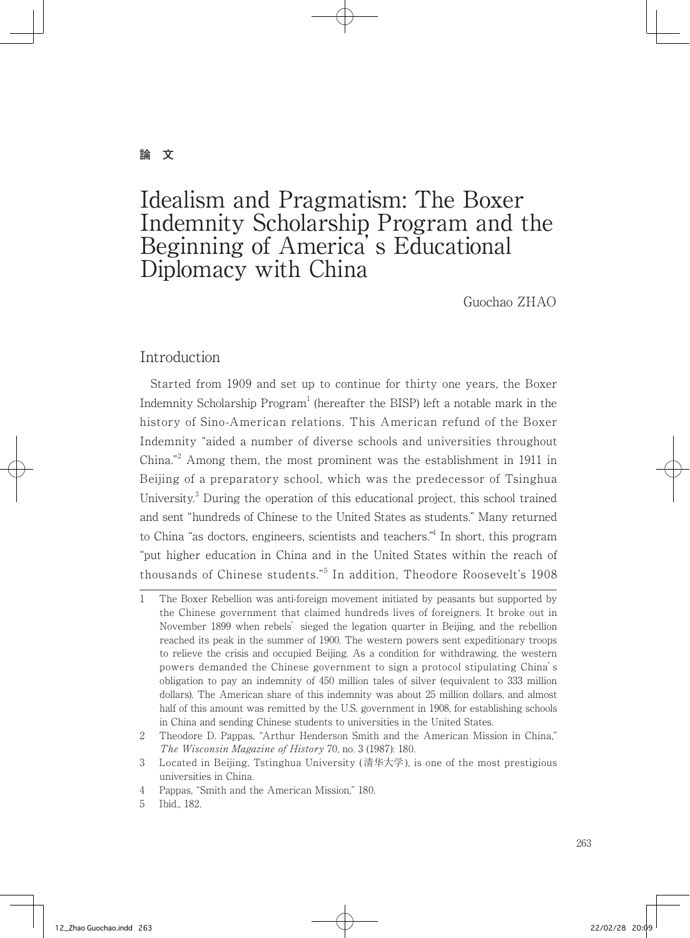#### **論 文**

# Idealism and Pragmatism: The Boxer Indemnity Scholarship Program and the Beginning of America's Educational Diplomacy with China

Guochao ZHAO

### Introduction

 Started from 1909 and set up to continue for thirty one years, the Boxer Indemnity Scholarship  $Program<sup>1</sup>$  (hereafter the BISP) left a notable mark in the history of Sino-American relations. This American refund of the Boxer Indemnity "aided a number of diverse schools and universities throughout China."<sup>2</sup> Among them, the most prominent was the establishment in 1911 in Beijing of a preparatory school, which was the predecessor of Tsinghua University.<sup>3</sup> During the operation of this educational project, this school trained and sent "hundreds of Chinese to the United States as students." Many returned to China "as doctors, engineers, scientists and teachers." In short, this program "put higher education in China and in the United States within the reach of thousands of Chinese students."<sup>5</sup> In addition, Theodore Roosevelt's 1908

<sup>1</sup> The Boxer Rebellion was anti-foreign movement initiated by peasants but supported by the Chinese government that claimed hundreds lives of foreigners. It broke out in November 1899 when rebels' sieged the legation quarter in Beijing, and the rebellion reached its peak in the summer of 1900. The western powers sent expeditionary troops to relieve the crisis and occupied Beijing. As a condition for withdrawing, the western powers demanded the Chinese government to sign a protocol stipulating China's obligation to pay an indemnity of 450 million tales of silver (equivalent to 333 million dollars). The American share of this indemnity was about 25 million dollars, and almost half of this amount was remitted by the U.S. government in 1908, for establishing schools in China and sending Chinese students to universities in the United States.

<sup>2</sup> Theodore D. Pappas, "Arthur Henderson Smith and the American Mission in China," The Wisconsin Magazine of History 70, no. 3 (1987): 180.

<sup>3</sup> Located in Beijing, Tstinghua University ( 清华大学), is one of the most prestigious universities in China.

<sup>4</sup> Pappas, "Smith and the American Mission," 180.

<sup>5</sup> Ibid., 182.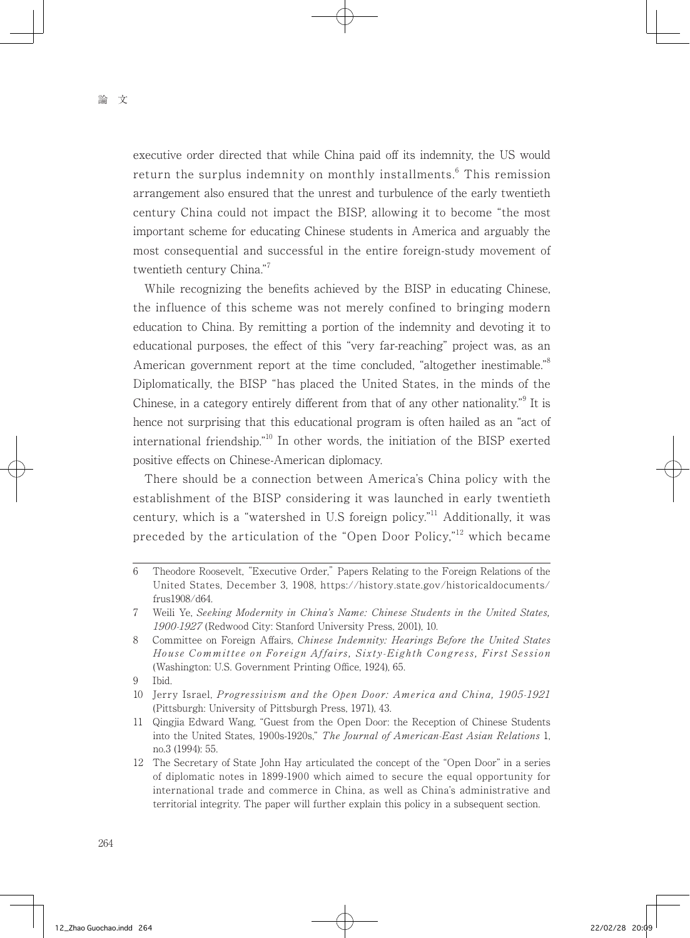executive order directed that while China paid off its indemnity, the US would return the surplus indemnity on monthly installments.<sup>6</sup> This remission arrangement also ensured that the unrest and turbulence of the early twentieth century China could not impact the BISP, allowing it to become "the most important scheme for educating Chinese students in America and arguably the most consequential and successful in the entire foreign-study movement of twentieth century China."<sup>7</sup>

 While recognizing the benefits achieved by the BISP in educating Chinese, the influence of this scheme was not merely confined to bringing modern education to China. By remitting a portion of the indemnity and devoting it to educational purposes, the effect of this "very far-reaching" project was, as an American government report at the time concluded, "altogether inestimable."<sup>8</sup> Diplomatically, the BISP "has placed the United States, in the minds of the Chinese, in a category entirely different from that of any other nationality."<sup>9</sup> It is hence not surprising that this educational program is often hailed as an "act of international friendship."10 In other words, the initiation of the BISP exerted positive effects on Chinese-American diplomacy.

 There should be a connection between America's China policy with the establishment of the BISP considering it was launched in early twentieth century, which is a "watershed in U.S foreign policy."<sup>11</sup> Additionally, it was preceded by the articulation of the "Open Door Policy,"<sup>12</sup> which became

<sup>6</sup> Theodore Roosevelt, "Executive Order," Papers Relating to the Foreign Relations of the United States, December 3, 1908, https://history.state.gov/historicaldocuments/ frus1908/d64.

<sup>7</sup> Weili Ye, Seeking Modernity in China's Name: Chinese Students in the United States, 1900-1927 (Redwood City: Stanford University Press, 2001), 10.

<sup>8</sup> Committee on Foreign Affairs, Chinese Indemnity: Hearings Before the United States House Committee on Foreign Affairs, Sixty-Eighth Congress, First Session (Washington: U.S. Government Printing Office, 1924), 65.

<sup>9</sup> Ibid.

<sup>10</sup> Jerry Israel, Progressivism and the Open Door: America and China, 1905-1921 (Pittsburgh: University of Pittsburgh Press, 1971), 43.

<sup>11</sup> Qingjia Edward Wang, "Guest from the Open Door: the Reception of Chinese Students into the United States, 1900s-1920s," The Journal of American-East Asian Relations 1, no.3 (1994): 55.

<sup>12</sup> The Secretary of State John Hay articulated the concept of the "Open Door" in a series of diplomatic notes in 1899-1900 which aimed to secure the equal opportunity for international trade and commerce in China, as well as China's administrative and territorial integrity. The paper will further explain this policy in a subsequent section.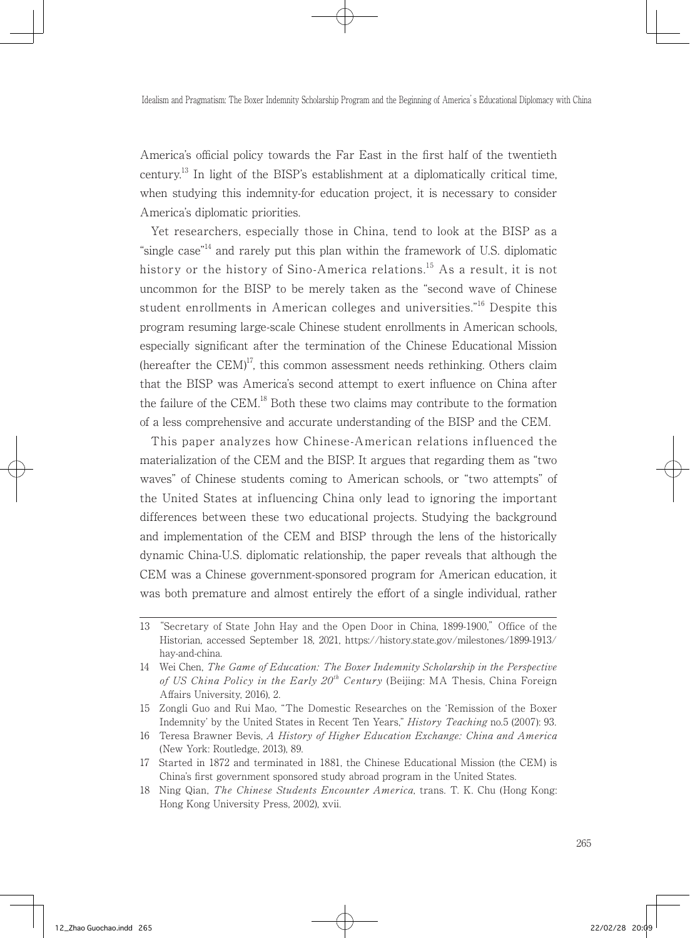America's official policy towards the Far East in the first half of the twentieth century.<sup>13</sup> In light of the BISP's establishment at a diplomatically critical time. when studying this indemnity-for education project, it is necessary to consider America's diplomatic priorities.

 Yet researchers, especially those in China, tend to look at the BISP as a "single case"<sup>14</sup> and rarely put this plan within the framework of U.S. diplomatic history or the history of Sino-America relations.<sup>15</sup> As a result, it is not uncommon for the BISP to be merely taken as the "second wave of Chinese student enrollments in American colleges and universities."16 Despite this program resuming large-scale Chinese student enrollments in American schools, especially significant after the termination of the Chinese Educational Mission (hereafter the  $CEM$ )<sup>17</sup>, this common assessment needs rethinking. Others claim that the BISP was America's second attempt to exert influence on China after the failure of the CEM.<sup>18</sup> Both these two claims may contribute to the formation of a less comprehensive and accurate understanding of the BISP and the CEM.

 This paper analyzes how Chinese-American relations influenced the materialization of the CEM and the BISP. It argues that regarding them as "two waves" of Chinese students coming to American schools, or "two attempts" of the United States at influencing China only lead to ignoring the important differences between these two educational projects. Studying the background and implementation of the CEM and BISP through the lens of the historically dynamic China-U.S. diplomatic relationship, the paper reveals that although the CEM was a Chinese government-sponsored program for American education, it was both premature and almost entirely the effort of a single individual, rather

<sup>13</sup> "Secretary of State John Hay and the Open Door in China, 1899-1900," Office of the Historian, accessed September 18, 2021, https://history.state.gov/milestones/1899-1913/ hay-and-china.

<sup>14</sup> Wei Chen, The Game of Education: The Boxer Indemnity Scholarship in the Perspective of US China Policy in the Early  $20<sup>th</sup>$  Century (Beijing: MA Thesis, China Foreign Affairs University, 2016), 2.

<sup>15</sup> Zongli Guo and Rui Mao, "The Domestic Researches on the 'Remission of the Boxer Indemnity' by the United States in Recent Ten Years," History Teaching no.5 (2007): 93.

<sup>16</sup> Teresa Brawner Bevis, A History of Higher Education Exchange: China and America (New York: Routledge, 2013), 89.

<sup>17</sup> Started in 1872 and terminated in 1881, the Chinese Educational Mission (the CEM) is China's first government sponsored study abroad program in the United States.

<sup>18</sup> Ning Qian, The Chinese Students Encounter America, trans. T. K. Chu (Hong Kong: Hong Kong University Press, 2002), xvii.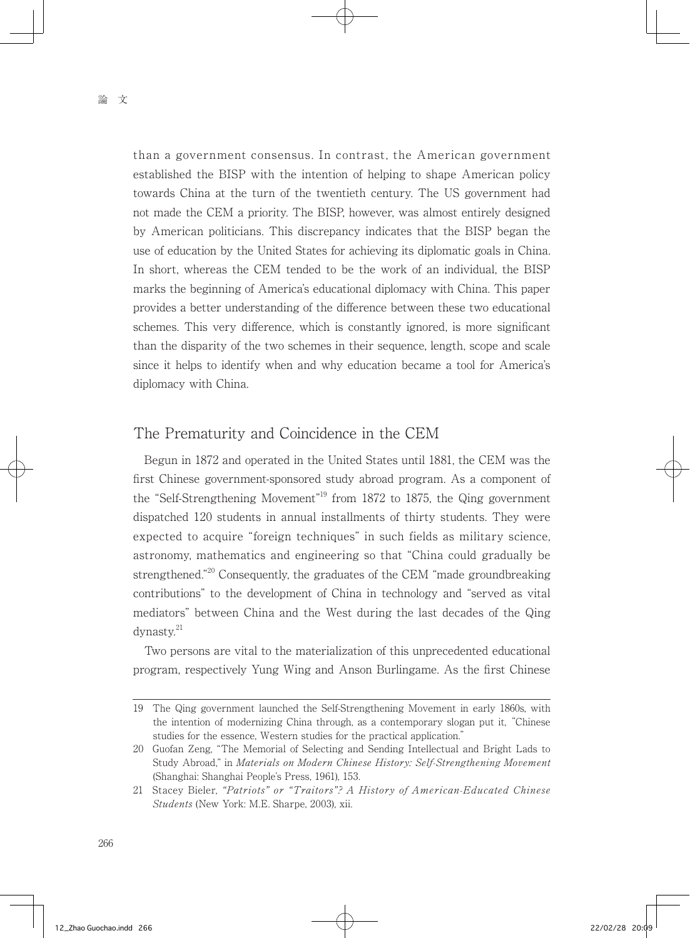than a government consensus. In contrast, the American government established the BISP with the intention of helping to shape American policy towards China at the turn of the twentieth century. The US government had not made the CEM a priority. The BISP, however, was almost entirely designed by American politicians. This discrepancy indicates that the BISP began the use of education by the United States for achieving its diplomatic goals in China. In short, whereas the CEM tended to be the work of an individual, the BISP marks the beginning of America's educational diplomacy with China. This paper provides a better understanding of the difference between these two educational schemes. This very difference, which is constantly ignored, is more significant than the disparity of the two schemes in their sequence, length, scope and scale since it helps to identify when and why education became a tool for America's diplomacy with China.

#### The Prematurity and Coincidence in the CEM

 Begun in 1872 and operated in the United States until 1881, the CEM was the first Chinese government-sponsored study abroad program. As a component of the "Self-Strengthening Movement"<sup>19</sup> from 1872 to 1875, the Qing government dispatched 120 students in annual installments of thirty students. They were expected to acquire "foreign techniques" in such fields as military science, astronomy, mathematics and engineering so that "China could gradually be strengthened."<sup>20</sup> Consequently, the graduates of the CEM "made groundbreaking contributions" to the development of China in technology and "served as vital mediators" between China and the West during the last decades of the Qing dynasty.<sup>21</sup>

 Two persons are vital to the materialization of this unprecedented educational program, respectively Yung Wing and Anson Burlingame. As the first Chinese

<sup>19</sup> The Qing government launched the Self-Strengthening Movement in early 1860s, with the intention of modernizing China through, as a contemporary slogan put it, "Chinese studies for the essence, Western studies for the practical application."

<sup>20</sup> Guofan Zeng, "The Memorial of Selecting and Sending Intellectual and Bright Lads to Study Abroad," in Materials on Modern Chinese History: Self-Strengthening Movement (Shanghai: Shanghai People's Press, 1961), 153.

<sup>21</sup> Stacey Bieler, "Patriots" or "Traitors"? A History of American-Educated Chinese Students (New York: M.E. Sharpe, 2003), xii.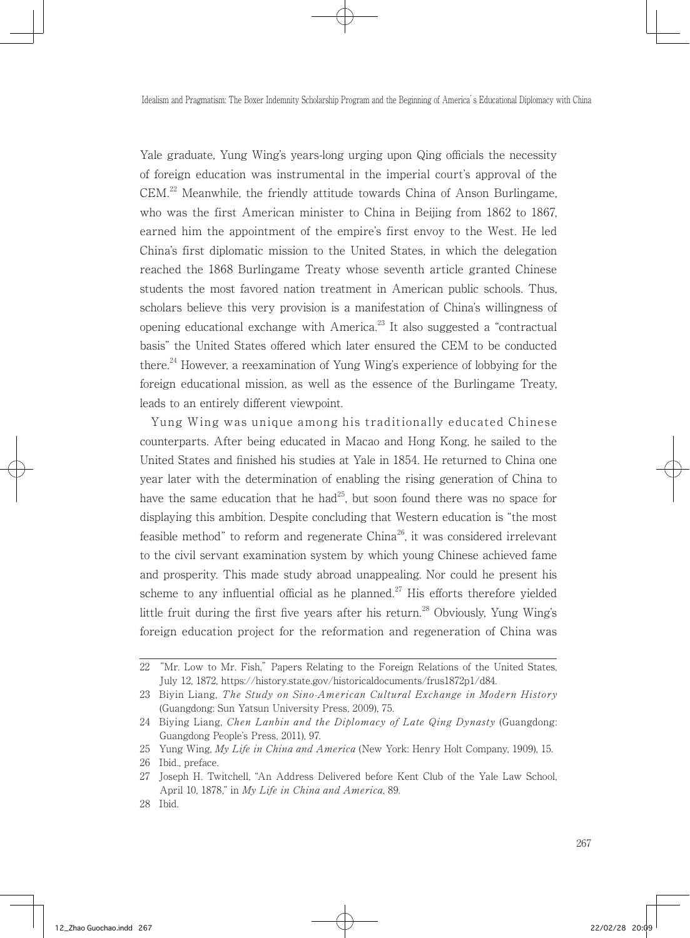Yale graduate, Yung Wing's years-long urging upon Qing officials the necessity of foreign education was instrumental in the imperial court's approval of the  $CEM<sup>22</sup>$  Meanwhile, the friendly attitude towards China of Anson Burlingame, who was the first American minister to China in Beijing from 1862 to 1867, earned him the appointment of the empire's first envoy to the West. He led China's first diplomatic mission to the United States, in which the delegation reached the 1868 Burlingame Treaty whose seventh article granted Chinese students the most favored nation treatment in American public schools. Thus, scholars believe this very provision is a manifestation of China's willingness of opening educational exchange with America.<sup>23</sup> It also suggested a "contractual" basis" the United States offered which later ensured the CEM to be conducted there.<sup>24</sup> However, a reexamination of Yung Wing's experience of lobbying for the foreign educational mission, as well as the essence of the Burlingame Treaty, leads to an entirely different viewpoint.

 Yung Wing was unique among his traditionally educated Chinese counterparts. After being educated in Macao and Hong Kong, he sailed to the United States and finished his studies at Yale in 1854. He returned to China one year later with the determination of enabling the rising generation of China to have the same education that he had<sup>25</sup>, but soon found there was no space for displaying this ambition. Despite concluding that Western education is "the most feasible method" to reform and regenerate  $China^{26}$ , it was considered irrelevant to the civil servant examination system by which young Chinese achieved fame and prosperity. This made study abroad unappealing. Nor could he present his scheme to any influential official as he planned.<sup>27</sup> His efforts therefore yielded little fruit during the first five years after his return.<sup>28</sup> Obviously, Yung Wing's foreign education project for the reformation and regeneration of China was

<sup>22</sup> "Mr. Low to Mr. Fish," Papers Relating to the Foreign Relations of the United States, July 12, 1872, https://history.state.gov/historicaldocuments/frus1872p1/d84.

<sup>23</sup> Biyin Liang, The Study on Sino-American Cultural Exchange in Modern History (Guangdong: Sun Yatsun University Press, 2009), 75.

<sup>24</sup> Biying Liang, Chen Lanbin and the Diplomacy of Late Qing Dynasty (Guangdong: Guangdong People's Press, 2011), 97.

<sup>25</sup> Yung Wing, My Life in China and America (New York: Henry Holt Company, 1909), 15.

<sup>26</sup> Ibid., preface.

<sup>27</sup> Joseph H. Twitchell, "An Address Delivered before Kent Club of the Yale Law School, April 10, 1878," in My Life in China and America, 89.

<sup>28</sup> Ibid.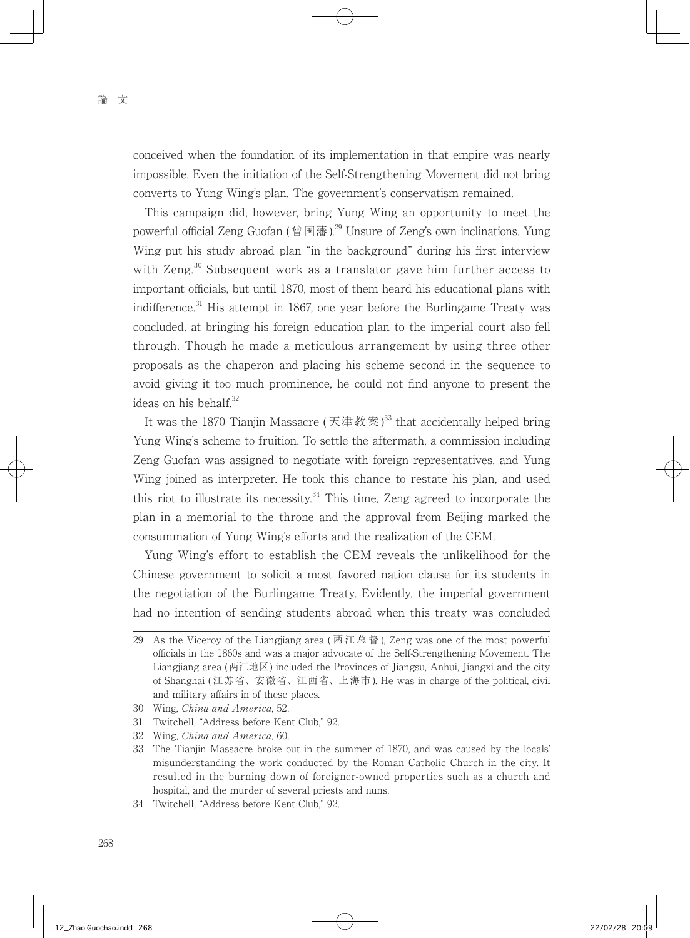conceived when the foundation of its implementation in that empire was nearly impossible. Even the initiation of the Self-Strengthening Movement did not bring converts to Yung Wing's plan. The government's conservatism remained.

 This campaign did, however, bring Yung Wing an opportunity to meet the powerful official Zeng Guofan (曾国藩).<sup>29</sup> Unsure of Zeng's own inclinations, Yung Wing put his study abroad plan "in the background" during his first interview with Zeng.<sup>30</sup> Subsequent work as a translator gave him further access to important officials, but until 1870, most of them heard his educational plans with indifference.<sup>31</sup> His attempt in 1867, one year before the Burlingame Treaty was concluded, at bringing his foreign education plan to the imperial court also fell through. Though he made a meticulous arrangement by using three other proposals as the chaperon and placing his scheme second in the sequence to avoid giving it too much prominence, he could not find anyone to present the ideas on his behalf.<sup>32</sup>

It was the 1870 Tianjin Massacre (天津教案)<sup>33</sup> that accidentally helped bring Yung Wing's scheme to fruition. To settle the aftermath, a commission including Zeng Guofan was assigned to negotiate with foreign representatives, and Yung Wing joined as interpreter. He took this chance to restate his plan, and used this riot to illustrate its necessity. $34$  This time, Zeng agreed to incorporate the plan in a memorial to the throne and the approval from Beijing marked the consummation of Yung Wing's efforts and the realization of the CEM.

 Yung Wing's effort to establish the CEM reveals the unlikelihood for the Chinese government to solicit a most favored nation clause for its students in the negotiation of the Burlingame Treaty. Evidently, the imperial government had no intention of sending students abroad when this treaty was concluded

34 Twitchell, "Address before Kent Club," 92.

<sup>29</sup> As the Viceroy of the Liangjiang area (两江总督), Zeng was one of the most powerful officials in the 1860s and was a major advocate of the Self-Strengthening Movement. The Liangjiang area (两江地区) included the Provinces of Jiangsu, Anhui, Jiangxi and the city of Shanghai ( 江苏省、安徽省、江西省、上海市 ). He was in charge of the political, civil and military affairs in of these places.

<sup>30</sup> Wing, China and America, 52.

<sup>31</sup> Twitchell, "Address before Kent Club," 92.

<sup>32</sup> Wing, China and America, 60.

<sup>33</sup> The Tianjin Massacre broke out in the summer of 1870, and was caused by the locals' misunderstanding the work conducted by the Roman Catholic Church in the city. It resulted in the burning down of foreigner-owned properties such as a church and hospital, and the murder of several priests and nuns.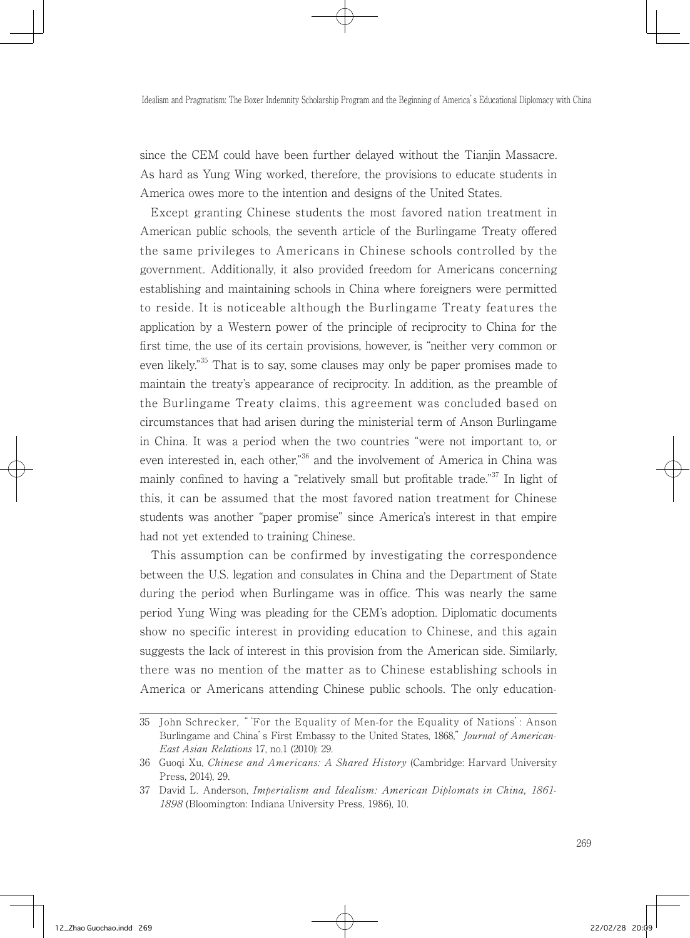since the CEM could have been further delayed without the Tianjin Massacre. As hard as Yung Wing worked, therefore, the provisions to educate students in America owes more to the intention and designs of the United States.

 Except granting Chinese students the most favored nation treatment in American public schools, the seventh article of the Burlingame Treaty offered the same privileges to Americans in Chinese schools controlled by the government. Additionally, it also provided freedom for Americans concerning establishing and maintaining schools in China where foreigners were permitted to reside. It is noticeable although the Burlingame Treaty features the application by a Western power of the principle of reciprocity to China for the first time, the use of its certain provisions, however, is "neither very common or even likely.<sup>"35</sup> That is to say, some clauses may only be paper promises made to maintain the treaty's appearance of reciprocity. In addition, as the preamble of the Burlingame Treaty claims, this agreement was concluded based on circumstances that had arisen during the ministerial term of Anson Burlingame in China. It was a period when the two countries "were not important to, or even interested in, each other.<sup>36</sup> and the involvement of America in China was mainly confined to having a "relatively small but profitable trade."<sup>37</sup> In light of this, it can be assumed that the most favored nation treatment for Chinese students was another "paper promise" since America's interest in that empire had not yet extended to training Chinese.

 This assumption can be confirmed by investigating the correspondence between the U.S. legation and consulates in China and the Department of State during the period when Burlingame was in office. This was nearly the same period Yung Wing was pleading for the CEM's adoption. Diplomatic documents show no specific interest in providing education to Chinese, and this again suggests the lack of interest in this provision from the American side. Similarly, there was no mention of the matter as to Chinese establishing schools in America or Americans attending Chinese public schools. The only education-

<sup>35</sup> John Schrecker, "'For the Equality of Men-for the Equality of Nations': Anson Burlingame and China's First Embassy to the United States, 1868," Journal of American-East Asian Relations 17, no.1 (2010): 29.

<sup>36</sup> Guoqi Xu, Chinese and Americans: A Shared History (Cambridge: Harvard University Press, 2014), 29.

<sup>37</sup> David L. Anderson, Imperialism and Idealism: American Diplomats in China, 1861- 1898 (Bloomington: Indiana University Press, 1986), 10.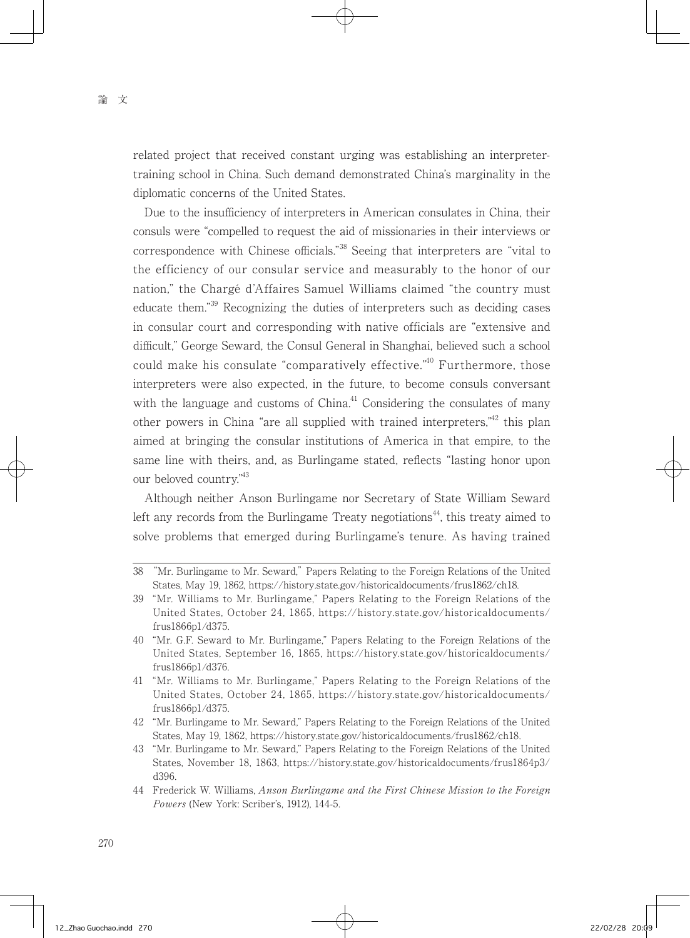related project that received constant urging was establishing an interpretertraining school in China. Such demand demonstrated China's marginality in the diplomatic concerns of the United States.

 Due to the insufficiency of interpreters in American consulates in China, their consuls were "compelled to request the aid of missionaries in their interviews or correspondence with Chinese officials."38 Seeing that interpreters are "vital to the efficiency of our consular service and measurably to the honor of our nation," the Chargé d'Affaires Samuel Williams claimed "the country must educate them."39 Recognizing the duties of interpreters such as deciding cases in consular court and corresponding with native officials are "extensive and difficult," George Seward, the Consul General in Shanghai, believed such a school could make his consulate "comparatively effective."<sup>40</sup> Furthermore, those interpreters were also expected, in the future, to become consuls conversant with the language and customs of  $China<sup>41</sup>$  Considering the consulates of many other powers in China "are all supplied with trained interpreters."<sup>42</sup> this plan aimed at bringing the consular institutions of America in that empire, to the same line with theirs, and, as Burlingame stated, reflects "lasting honor upon our beloved country."43

 Although neither Anson Burlingame nor Secretary of State William Seward left any records from the Burlingame Treaty negotiations<sup>44</sup>, this treaty aimed to solve problems that emerged during Burlingame's tenure. As having trained

<sup>38</sup> "Mr. Burlingame to Mr. Seward," Papers Relating to the Foreign Relations of the United States, May 19, 1862, https://history.state.gov/historicaldocuments/frus1862/ch18.

<sup>39</sup> "Mr. Williams to Mr. Burlingame," Papers Relating to the Foreign Relations of the United States, October 24, 1865, https://history.state.gov/historicaldocuments/ frus1866p1/d375.

<sup>40</sup> "Mr. G.F. Seward to Mr. Burlingame," Papers Relating to the Foreign Relations of the United States, September 16, 1865, https://history.state.gov/historicaldocuments/ frus1866p1/d376.

<sup>41</sup> "Mr. Williams to Mr. Burlingame," Papers Relating to the Foreign Relations of the United States, October 24, 1865, https://history.state.gov/historicaldocuments/ frus1866p1/d375.

<sup>42</sup> "Mr. Burlingame to Mr. Seward," Papers Relating to the Foreign Relations of the United States, May 19, 1862, https://history.state.gov/historicaldocuments/frus1862/ch18.

<sup>43</sup> "Mr. Burlingame to Mr. Seward," Papers Relating to the Foreign Relations of the United States, November 18, 1863, https://history.state.gov/historicaldocuments/frus1864p3/ d396.

<sup>44</sup> Frederick W. Williams, Anson Burlingame and the First Chinese Mission to the Foreign Powers (New York: Scriber's, 1912), 144-5.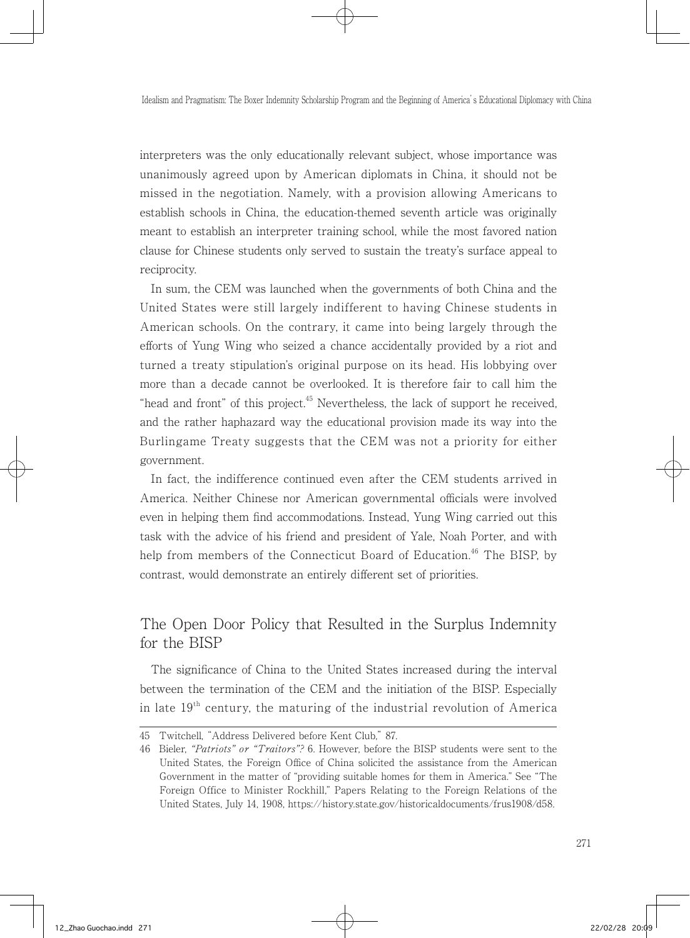interpreters was the only educationally relevant subject, whose importance was unanimously agreed upon by American diplomats in China, it should not be missed in the negotiation. Namely, with a provision allowing Americans to establish schools in China, the education-themed seventh article was originally meant to establish an interpreter training school, while the most favored nation clause for Chinese students only served to sustain the treaty's surface appeal to reciprocity.

 In sum, the CEM was launched when the governments of both China and the United States were still largely indifferent to having Chinese students in American schools. On the contrary, it came into being largely through the efforts of Yung Wing who seized a chance accidentally provided by a riot and turned a treaty stipulation's original purpose on its head. His lobbying over more than a decade cannot be overlooked. It is therefore fair to call him the "head and front" of this project. $45$  Nevertheless, the lack of support he received, and the rather haphazard way the educational provision made its way into the Burlingame Treaty suggests that the CEM was not a priority for either government.

 In fact, the indifference continued even after the CEM students arrived in America. Neither Chinese nor American governmental officials were involved even in helping them find accommodations. Instead, Yung Wing carried out this task with the advice of his friend and president of Yale, Noah Porter, and with help from members of the Connecticut Board of Education.<sup>46</sup> The BISP, by contrast, would demonstrate an entirely different set of priorities.

## The Open Door Policy that Resulted in the Surplus Indemnity for the BISP

 The significance of China to the United States increased during the interval between the termination of the CEM and the initiation of the BISP. Especially in late  $19<sup>th</sup>$  century, the maturing of the industrial revolution of America

<sup>45</sup> Twitchell, "Address Delivered before Kent Club," 87.

<sup>46</sup> Bieler, "Patriots" or "Traitors"? 6. However, before the BISP students were sent to the United States, the Foreign Office of China solicited the assistance from the American Government in the matter of "providing suitable homes for them in America." See "The Foreign Office to Minister Rockhill," Papers Relating to the Foreign Relations of the United States, July 14, 1908, https://history.state.gov/historicaldocuments/frus1908/d58.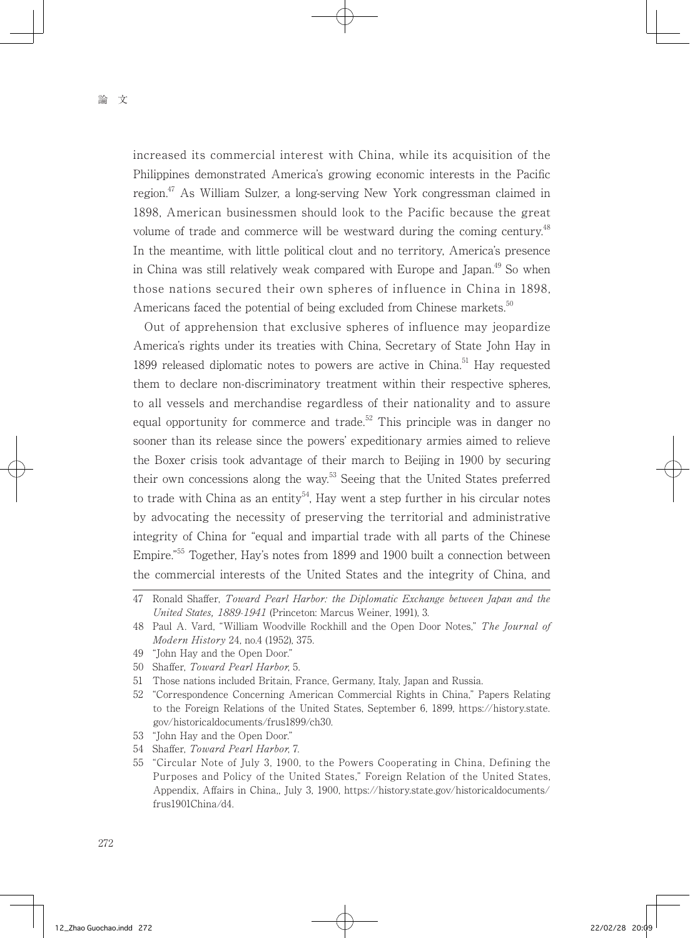increased its commercial interest with China, while its acquisition of the Philippines demonstrated America's growing economic interests in the Pacific region.<sup>47</sup> As William Sulzer, a long-serving New York congressman claimed in 1898, American businessmen should look to the Pacific because the great volume of trade and commerce will be westward during the coming century.<sup>48</sup> In the meantime, with little political clout and no territory, America's presence in China was still relatively weak compared with Europe and Japan.<sup>49</sup> So when those nations secured their own spheres of influence in China in 1898, Americans faced the potential of being excluded from Chinese markets.<sup>50</sup>

 Out of apprehension that exclusive spheres of influence may jeopardize America's rights under its treaties with China, Secretary of State John Hay in 1899 released diplomatic notes to powers are active in China.<sup>51</sup> Hay requested them to declare non-discriminatory treatment within their respective spheres, to all vessels and merchandise regardless of their nationality and to assure equal opportunity for commerce and trade.<sup>52</sup> This principle was in danger no sooner than its release since the powers' expeditionary armies aimed to relieve the Boxer crisis took advantage of their march to Beijing in 1900 by securing their own concessions along the way.<sup>53</sup> Seeing that the United States preferred to trade with China as an entity<sup>54</sup>. Hay went a step further in his circular notes by advocating the necessity of preserving the territorial and administrative integrity of China for "equal and impartial trade with all parts of the Chinese Empire."55 Together, Hay's notes from 1899 and 1900 built a connection between the commercial interests of the United States and the integrity of China, and

- 53 "John Hay and the Open Door."
- 54 Shaffer, Toward Pearl Harbor, 7.

<sup>47</sup> Ronald Shaffer, Toward Pearl Harbor: the Diplomatic Exchange between Japan and the United States, 1889-1941 (Princeton: Marcus Weiner, 1991), 3.

<sup>48</sup> Paul A. Vard, "William Woodville Rockhill and the Open Door Notes," The Journal of Modern History 24, no.4 (1952), 375.

<sup>49</sup> "John Hay and the Open Door."

<sup>50</sup> Shaffer, Toward Pearl Harbor, 5.

<sup>51</sup> Those nations included Britain, France, Germany, Italy, Japan and Russia.

<sup>52</sup> "Correspondence Concerning American Commercial Rights in China," Papers Relating to the Foreign Relations of the United States, September 6, 1899, https://history.state. gov/historicaldocuments/frus1899/ch30.

<sup>55</sup> "Circular Note of July 3, 1900, to the Powers Cooperating in China, Defining the Purposes and Policy of the United States," Foreign Relation of the United States, Appendix, Affairs in China,, July 3, 1900, https://history.state.gov/historicaldocuments/ frus1901China/d4.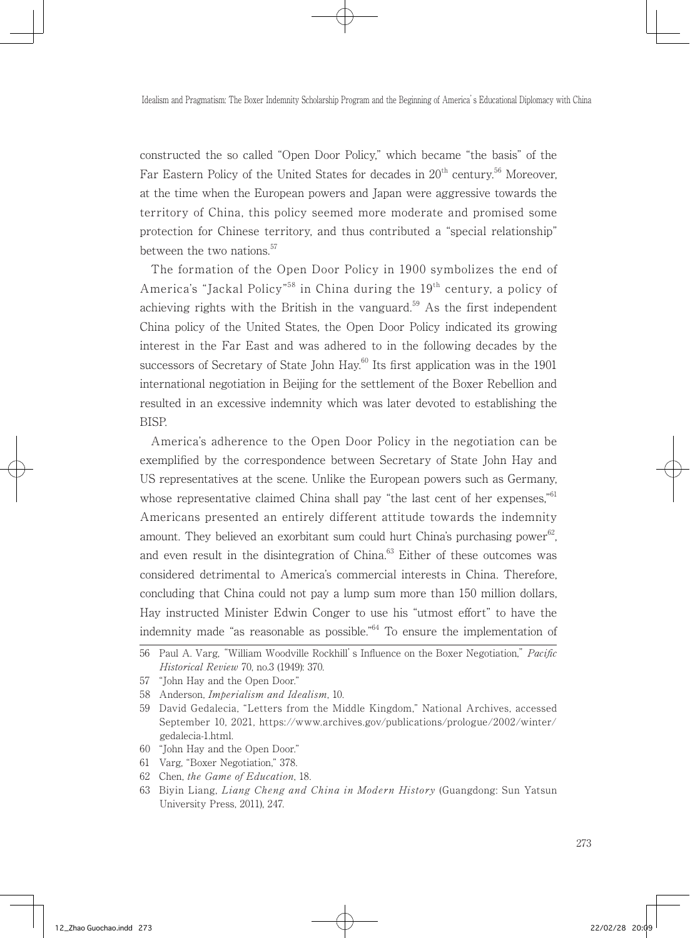constructed the so called "Open Door Policy," which became "the basis" of the Far Eastern Policy of the United States for decades in  $20<sup>th</sup>$  century.<sup>56</sup> Moreover, at the time when the European powers and Japan were aggressive towards the territory of China, this policy seemed more moderate and promised some protection for Chinese territory, and thus contributed a "special relationship" between the two nations.<sup>57</sup>

 The formation of the Open Door Policy in 1900 symbolizes the end of America's "Jackal Policy"<sup>58</sup> in China during the 19<sup>th</sup> century, a policy of achieving rights with the British in the vanguard.<sup>59</sup> As the first independent China policy of the United States, the Open Door Policy indicated its growing interest in the Far East and was adhered to in the following decades by the successors of Secretary of State John Hay. $60$  Its first application was in the 1901 international negotiation in Beijing for the settlement of the Boxer Rebellion and resulted in an excessive indemnity which was later devoted to establishing the BISP.

 America's adherence to the Open Door Policy in the negotiation can be exemplified by the correspondence between Secretary of State John Hay and US representatives at the scene. Unlike the European powers such as Germany, whose representative claimed China shall pay "the last cent of her expenses," $61$ Americans presented an entirely different attitude towards the indemnity amount. They believed an exorbitant sum could hurt China's purchasing power<sup>62</sup>, and even result in the disintegration of  $China<sup>63</sup>$ . Either of these outcomes was considered detrimental to America's commercial interests in China. Therefore, concluding that China could not pay a lump sum more than 150 million dollars, Hay instructed Minister Edwin Conger to use his "utmost effort" to have the indemnity made "as reasonable as possible."64 To ensure the implementation of

- 60 "John Hay and the Open Door."
- 61 Varg, "Boxer Negotiation," 378.
- 62 Chen, the Game of Education, 18.

<sup>56</sup> Paul A. Varg, "William Woodville Rockhill's Influence on the Boxer Negotiation," Pacific Historical Review 70, no.3 (1949): 370.

<sup>57</sup> "John Hay and the Open Door."

<sup>58</sup> Anderson, Imperialism and Idealism, 10.

<sup>59</sup> David Gedalecia, "Letters from the Middle Kingdom," National Archives, accessed September 10, 2021, https://www.archives.gov/publications/prologue/2002/winter/ gedalecia-1.html.

<sup>63</sup> Biyin Liang, Liang Cheng and China in Modern History (Guangdong: Sun Yatsun University Press, 2011), 247.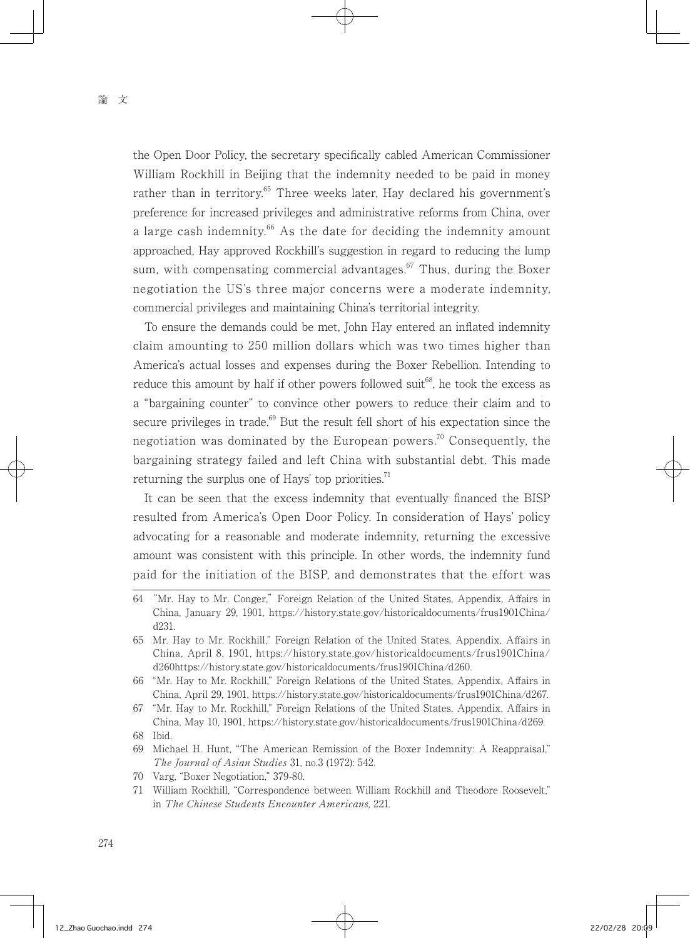the Open Door Policy, the secretary specifically cabled American Commissioner William Rockhill in Beijing that the indemnity needed to be paid in money rather than in territory.<sup>65</sup> Three weeks later, Hay declared his government's preference for increased privileges and administrative reforms from China, over a large cash indemnity.<sup>66</sup> As the date for deciding the indemnity amount approached, Hay approved Rockhill's suggestion in regard to reducing the lump sum, with compensating commercial advantages. $67$  Thus, during the Boxer negotiation the US's three major concerns were a moderate indemnity, commercial privileges and maintaining China's territorial integrity.

 To ensure the demands could be met, John Hay entered an inflated indemnity claim amounting to 250 million dollars which was two times higher than America's actual losses and expenses during the Boxer Rebellion. Intending to reduce this amount by half if other powers followed suit<sup>68</sup>, he took the excess as a "bargaining counter" to convince other powers to reduce their claim and to secure privileges in trade.<sup>69</sup> But the result fell short of his expectation since the negotiation was dominated by the European powers.<sup>70</sup> Consequently, the bargaining strategy failed and left China with substantial debt. This made returning the surplus one of Hays' top priorities.<sup>71</sup>

 It can be seen that the excess indemnity that eventually financed the BISP resulted from America's Open Door Policy. In consideration of Hays' policy advocating for a reasonable and moderate indemnity, returning the excessive amount was consistent with this principle. In other words, the indemnity fund paid for the initiation of the BISP, and demonstrates that the effort was

- 69 Michael H. Hunt, "The American Remission of the Boxer Indemnity: A Reappraisal," The Journal of Asian Studies 31, no.3 (1972): 542.
- 70 Varg, "Boxer Negotiation," 379-80.
- 71 William Rockhill, "Correspondence between William Rockhill and Theodore Roosevelt," in The Chinese Students Encounter Americans, 221.

<sup>64</sup> "Mr. Hay to Mr. Conger," Foreign Relation of the United States, Appendix, Affairs in China, January 29, 1901, https://history.state.gov/historicaldocuments/frus1901China/ d231.

<sup>65</sup> Mr. Hay to Mr. Rockhill," Foreign Relation of the United States, Appendix, Affairs in China, April 8, 1901, https://history.state.gov/historicaldocuments/frus1901China/ d260https://history.state.gov/historicaldocuments/frus1901China/d260.

<sup>66</sup> "Mr. Hay to Mr. Rockhill," Foreign Relations of the United States, Appendix, Affairs in China, April 29, 1901, https://history.state.gov/historicaldocuments/frus1901China/d267.

<sup>67</sup> "Mr. Hay to Mr. Rockhill," Foreign Relations of the United States, Appendix, Affairs in China, May 10, 1901, https://history.state.gov/historicaldocuments/frus1901China/d269. 68 Ibid.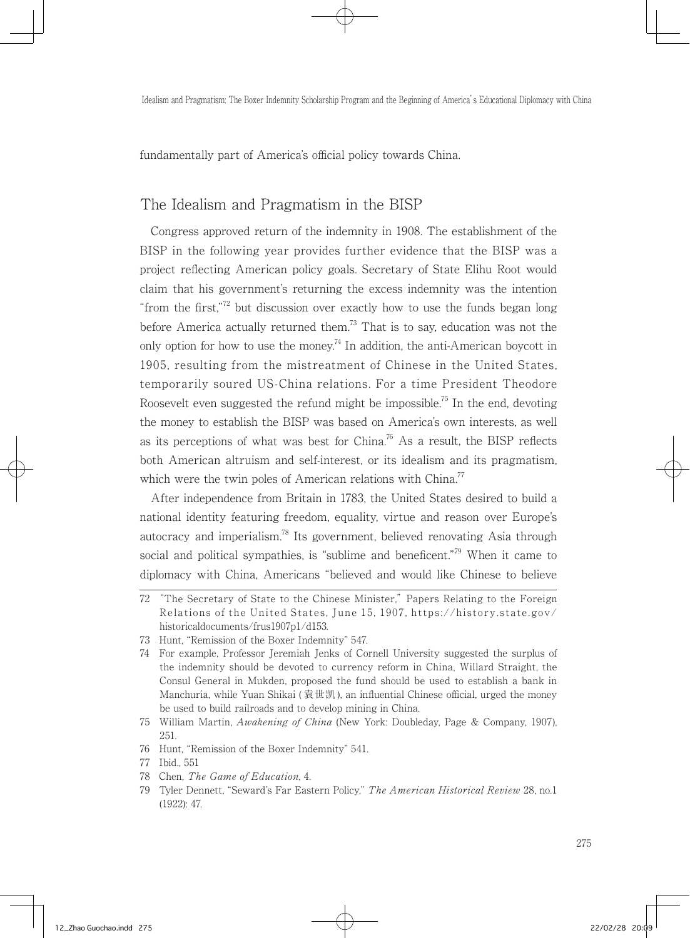fundamentally part of America's official policy towards China.

### The Idealism and Pragmatism in the BISP

 Congress approved return of the indemnity in 1908. The establishment of the BISP in the following year provides further evidence that the BISP was a project reflecting American policy goals. Secretary of State Elihu Root would claim that his government's returning the excess indemnity was the intention "from the first,"72 but discussion over exactly how to use the funds began long before America actually returned them.<sup>73</sup> That is to say, education was not the only option for how to use the money.<sup>74</sup> In addition, the anti-American boycott in 1905, resulting from the mistreatment of Chinese in the United States, temporarily soured US-China relations. For a time President Theodore Roosevelt even suggested the refund might be impossible.<sup>75</sup> In the end, devoting the money to establish the BISP was based on America's own interests, as well as its perceptions of what was best for China.<sup>76</sup> As a result, the BISP reflects both American altruism and self-interest, or its idealism and its pragmatism, which were the twin poles of American relations with China.<sup>77</sup>

 After independence from Britain in 1783, the United States desired to build a national identity featuring freedom, equality, virtue and reason over Europe's autocracy and imperialism.<sup>78</sup> Its government, believed renovating Asia through social and political sympathies, is "sublime and beneficent."<sup>79</sup> When it came to diplomacy with China, Americans "believed and would like Chinese to believe

<sup>72</sup> "The Secretary of State to the Chinese Minister," Papers Relating to the Foreign Relations of the United States, June 15, 1907, https://history.state.gov/ historicaldocuments/frus1907p1/d153.

<sup>73</sup> Hunt, "Remission of the Boxer Indemnity" 547.

<sup>74</sup> For example, Professor Jeremiah Jenks of Cornell University suggested the surplus of the indemnity should be devoted to currency reform in China, Willard Straight, the Consul General in Mukden, proposed the fund should be used to establish a bank in Manchuria, while Yuan Shikai ( 袁世凯 ), an influential Chinese official, urged the money be used to build railroads and to develop mining in China.

<sup>75</sup> William Martin, Awakening of China (New York: Doubleday, Page & Company, 1907), 251.

<sup>76</sup> Hunt, "Remission of the Boxer Indemnity" 541.

<sup>77</sup> Ibid., 551

<sup>78</sup> Chen, The Game of Education, 4.

<sup>79</sup> Tyler Dennett, "Seward's Far Eastern Policy," The American Historical Review 28, no.1 (1922): 47.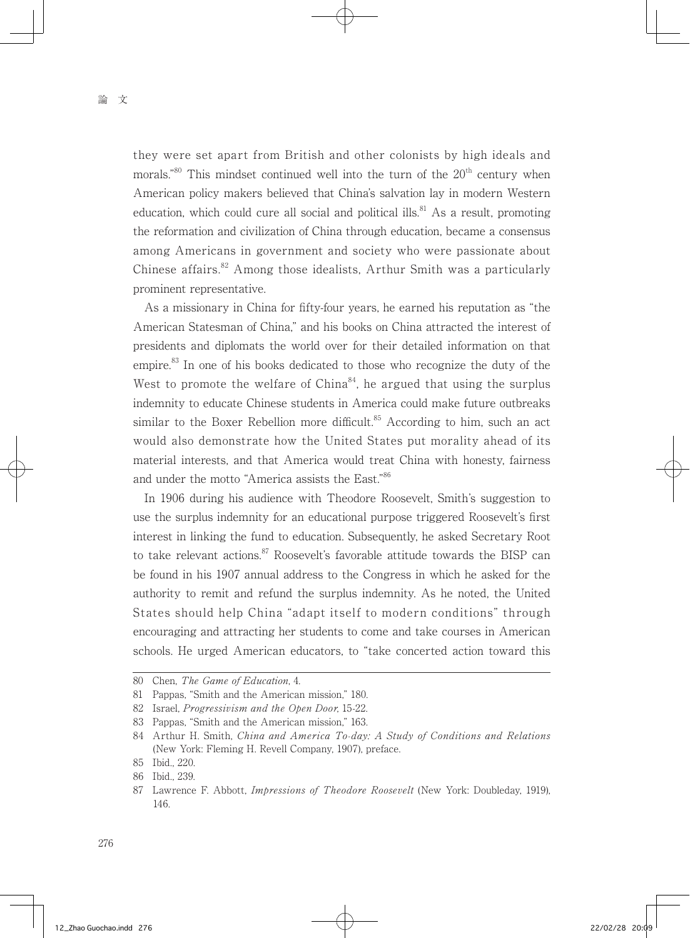they were set apart from British and other colonists by high ideals and morals."<sup>80</sup> This mindset continued well into the turn of the  $20<sup>th</sup>$  century when American policy makers believed that China's salvation lay in modern Western education, which could cure all social and political ills.<sup>81</sup> As a result, promoting the reformation and civilization of China through education, became a consensus among Americans in government and society who were passionate about Chinese affairs.<sup>82</sup> Among those idealists, Arthur Smith was a particularly prominent representative.

 As a missionary in China for fifty-four years, he earned his reputation as "the American Statesman of China," and his books on China attracted the interest of presidents and diplomats the world over for their detailed information on that empire.<sup>83</sup> In one of his books dedicated to those who recognize the duty of the West to promote the welfare of China<sup>84</sup>, he argued that using the surplus indemnity to educate Chinese students in America could make future outbreaks similar to the Boxer Rebellion more difficult.<sup>85</sup> According to him, such an act would also demonstrate how the United States put morality ahead of its material interests, and that America would treat China with honesty, fairness and under the motto "America assists the East."86

 In 1906 during his audience with Theodore Roosevelt, Smith's suggestion to use the surplus indemnity for an educational purpose triggered Roosevelt's first interest in linking the fund to education. Subsequently, he asked Secretary Root to take relevant actions.<sup>87</sup> Roosevelt's favorable attitude towards the BISP can be found in his 1907 annual address to the Congress in which he asked for the authority to remit and refund the surplus indemnity. As he noted, the United States should help China "adapt itself to modern conditions" through encouraging and attracting her students to come and take courses in American schools. He urged American educators, to "take concerted action toward this

<sup>80</sup> Chen, The Game of Education, 4.

<sup>81</sup> Pappas, "Smith and the American mission," 180.

<sup>82</sup> Israel, *Progressivism and the Open Door*, 15-22.

<sup>83</sup> Pappas, "Smith and the American mission," 163.

<sup>84</sup> Arthur H. Smith, China and America To-day: A Study of Conditions and Relations (New York: Fleming H. Revell Company, 1907), preface.

<sup>85</sup> Ibid., 220.

<sup>86</sup> Ibid., 239.

<sup>87</sup> Lawrence F. Abbott, Impressions of Theodore Roosevelt (New York: Doubleday, 1919), 146.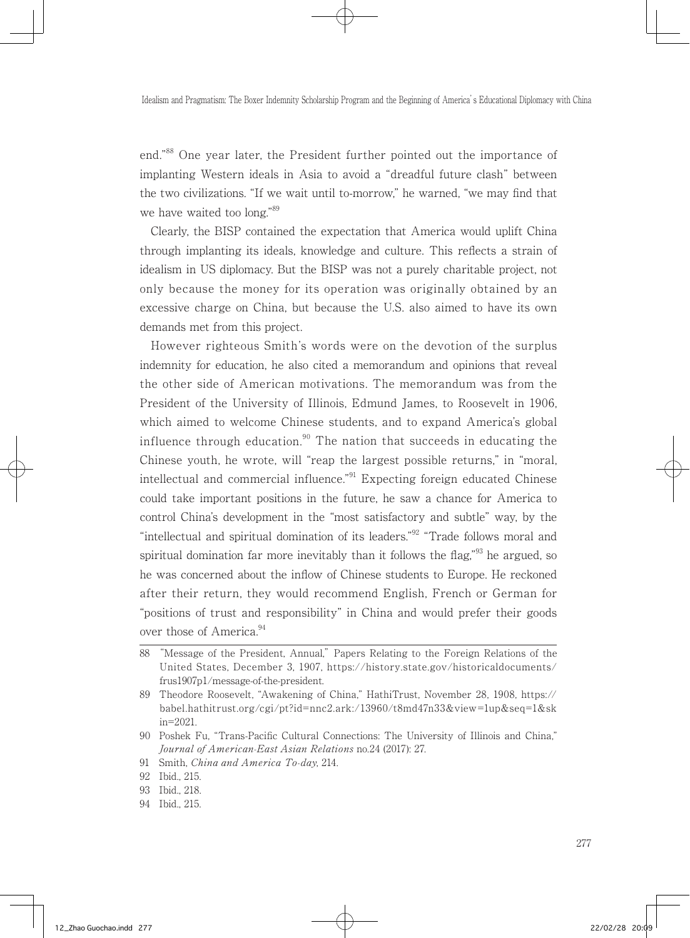end."88 One year later, the President further pointed out the importance of implanting Western ideals in Asia to avoid a "dreadful future clash" between the two civilizations. "If we wait until to-morrow," he warned, "we may find that we have waited too long."<sup>89</sup>

 Clearly, the BISP contained the expectation that America would uplift China through implanting its ideals, knowledge and culture. This reflects a strain of idealism in US diplomacy. But the BISP was not a purely charitable project, not only because the money for its operation was originally obtained by an excessive charge on China, but because the U.S. also aimed to have its own demands met from this project.

 However righteous Smith's words were on the devotion of the surplus indemnity for education, he also cited a memorandum and opinions that reveal the other side of American motivations. The memorandum was from the President of the University of Illinois, Edmund James, to Roosevelt in 1906, which aimed to welcome Chinese students, and to expand America's global influence through education.<sup>90</sup> The nation that succeeds in educating the Chinese youth, he wrote, will "reap the largest possible returns," in "moral, intellectual and commercial influence.<sup>"91</sup> Expecting foreign educated Chinese could take important positions in the future, he saw a chance for America to control China's development in the "most satisfactory and subtle" way, by the "intellectual and spiritual domination of its leaders."92 "Trade follows moral and spiritual domination far more inevitably than it follows the flag," $93$  he argued, so he was concerned about the inflow of Chinese students to Europe. He reckoned after their return, they would recommend English, French or German for "positions of trust and responsibility" in China and would prefer their goods over those of America.<sup>94</sup>

<sup>88</sup> "Message of the President, Annual," Papers Relating to the Foreign Relations of the United States, December 3, 1907, https://history.state.gov/historicaldocuments/ frus1907p1/message-of-the-president.

<sup>89</sup> Theodore Roosevelt, "Awakening of China," HathiTrust, November 28, 1908, https:// babel.hathitrust.org/cgi/pt?id=nnc2.ark:/13960/t8md47n33&view=1up&seq=1&sk in=2021.

<sup>90</sup> Poshek Fu, "Trans-Pacific Cultural Connections: The University of Illinois and China," Journal of American-East Asian Relations no.24 (2017): 27.

<sup>91</sup> Smith, China and America To-day, 214.

<sup>92</sup> Ibid., 215.

<sup>93</sup> Ibid., 218.

<sup>94</sup> Ibid., 215.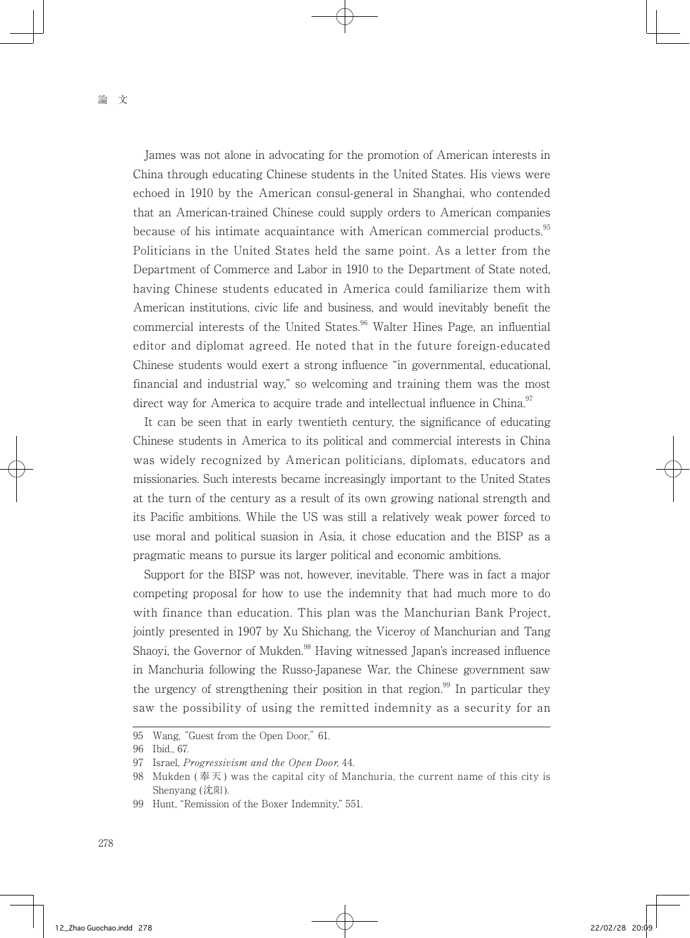James was not alone in advocating for the promotion of American interests in China through educating Chinese students in the United States. His views were echoed in 1910 by the American consul-general in Shanghai, who contended that an American-trained Chinese could supply orders to American companies because of his intimate acquaintance with American commercial products.<sup>95</sup> Politicians in the United States held the same point. As a letter from the Department of Commerce and Labor in 1910 to the Department of State noted, having Chinese students educated in America could familiarize them with American institutions, civic life and business, and would inevitably benefit the commercial interests of the United States.<sup>96</sup> Walter Hines Page, an influential editor and diplomat agreed. He noted that in the future foreign-educated Chinese students would exert a strong influence "in governmental, educational, financial and industrial way," so welcoming and training them was the most direct way for America to acquire trade and intellectual influence in China.<sup>97</sup>

 It can be seen that in early twentieth century, the significance of educating Chinese students in America to its political and commercial interests in China was widely recognized by American politicians, diplomats, educators and missionaries. Such interests became increasingly important to the United States at the turn of the century as a result of its own growing national strength and its Pacific ambitions. While the US was still a relatively weak power forced to use moral and political suasion in Asia, it chose education and the BISP as a pragmatic means to pursue its larger political and economic ambitions.

 Support for the BISP was not, however, inevitable. There was in fact a major competing proposal for how to use the indemnity that had much more to do with finance than education. This plan was the Manchurian Bank Project, jointly presented in 1907 by Xu Shichang, the Viceroy of Manchurian and Tang Shaoyi, the Governor of Mukden.<sup>98</sup> Having witnessed Japan's increased influence in Manchuria following the Russo-Japanese War, the Chinese government saw the urgency of strengthening their position in that region.<sup>99</sup> In particular they saw the possibility of using the remitted indemnity as a security for an

<sup>95</sup> Wang, "Guest from the Open Door," 61.

<sup>96</sup> Ibid., 67.

<sup>97</sup> Israel, *Progressivism and the Open Door*, 44.

<sup>98</sup> Mukden (奉天) was the capital city of Manchuria, the current name of this city is Shenyang (沈阳).

<sup>99</sup> Hunt, "Remission of the Boxer Indemnity," 551.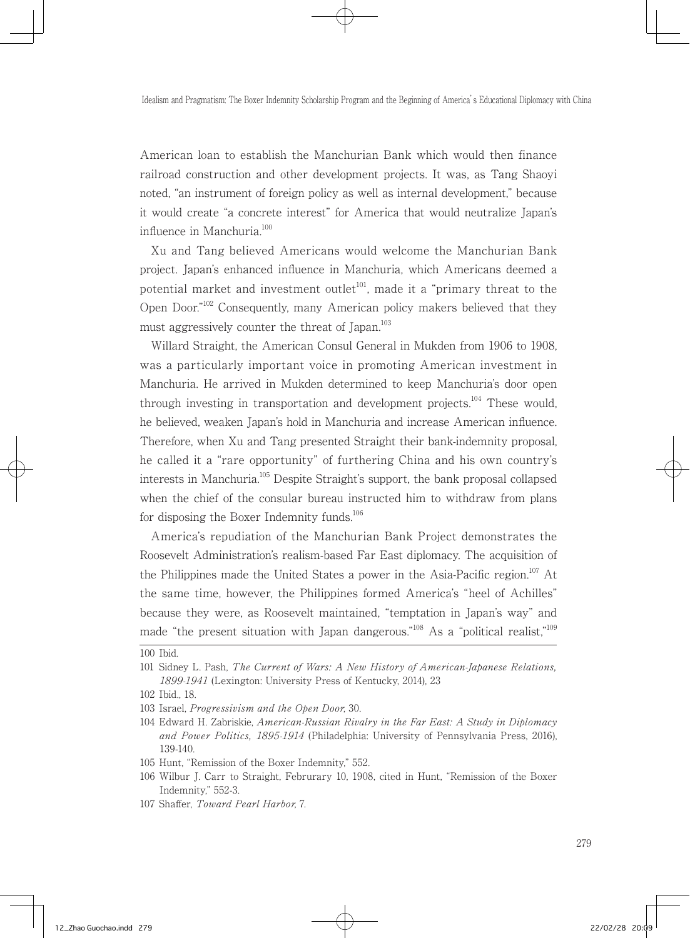American loan to establish the Manchurian Bank which would then finance railroad construction and other development projects. It was, as Tang Shaoyi noted, "an instrument of foreign policy as well as internal development," because it would create "a concrete interest" for America that would neutralize Japan's influence in Manchuria.<sup>100</sup>

 Xu and Tang believed Americans would welcome the Manchurian Bank project. Japan's enhanced influence in Manchuria, which Americans deemed a potential market and investment outlet<sup>101</sup>, made it a "primary threat to the Open Door."102 Consequently, many American policy makers believed that they must aggressively counter the threat of Japan.<sup>103</sup>

 Willard Straight, the American Consul General in Mukden from 1906 to 1908, was a particularly important voice in promoting American investment in Manchuria. He arrived in Mukden determined to keep Manchuria's door open through investing in transportation and development projects.<sup>104</sup> These would, he believed, weaken Japan's hold in Manchuria and increase American influence. Therefore, when Xu and Tang presented Straight their bank-indemnity proposal, he called it a "rare opportunity" of furthering China and his own country's interests in Manchuria.<sup>105</sup> Despite Straight's support, the bank proposal collapsed when the chief of the consular bureau instructed him to withdraw from plans for disposing the Boxer Indemnity funds.<sup>106</sup>

 America's repudiation of the Manchurian Bank Project demonstrates the Roosevelt Administration's realism-based Far East diplomacy. The acquisition of the Philippines made the United States a power in the Asia-Pacific region.<sup>107</sup> At the same time, however, the Philippines formed America's "heel of Achilles" because they were, as Roosevelt maintained, "temptation in Japan's way" and made "the present situation with Japan dangerous."<sup>108</sup> As a "political realist,"<sup>109</sup>

<sup>100</sup> Ibid.

<sup>101</sup> Sidney L. Pash, The Current of Wars: A New History of American-Japanese Relations, 1899-1941 (Lexington: University Press of Kentucky, 2014), 23

<sup>102</sup> Ibid., 18.

<sup>103</sup> Israel, Progressivism and the Open Door, 30.

<sup>104</sup> Edward H. Zabriskie, American-Russian Rivalry in the Far East: A Study in Diplomacy and Power Politics, 1895-1914 (Philadelphia: University of Pennsylvania Press, 2016), 139-140.

<sup>105</sup> Hunt, "Remission of the Boxer Indemnity," 552.

<sup>106</sup> Wilbur J. Carr to Straight, Februrary 10, 1908, cited in Hunt, "Remission of the Boxer Indemnity," 552-3.

<sup>107</sup> Shaffer, Toward Pearl Harbor, 7.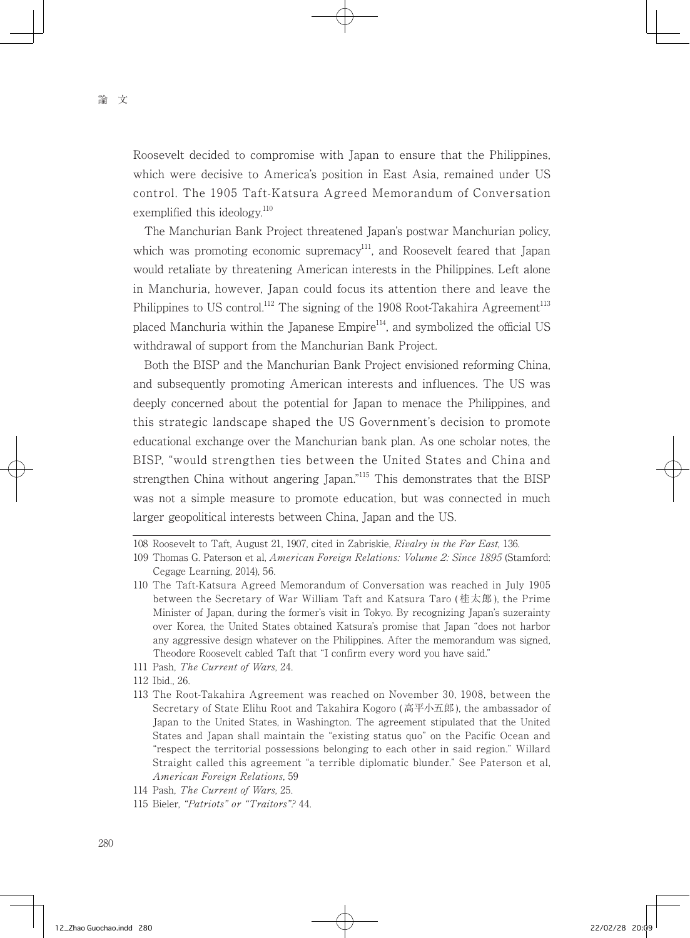Roosevelt decided to compromise with Japan to ensure that the Philippines, which were decisive to America's position in East Asia, remained under US control. The 1905 Taft-Katsura Agreed Memorandum of Conversation exemplified this ideology. $^{110}$ 

 The Manchurian Bank Project threatened Japan's postwar Manchurian policy, which was promoting economic supremacy<sup>111</sup>, and Roosevelt feared that Japan would retaliate by threatening American interests in the Philippines. Left alone in Manchuria, however, Japan could focus its attention there and leave the Philippines to US control.<sup>112</sup> The signing of the 1908 Root-Takahira Agreement<sup>113</sup> placed Manchuria within the Japanese Empire<sup>114</sup>, and symbolized the official US withdrawal of support from the Manchurian Bank Project.

 Both the BISP and the Manchurian Bank Project envisioned reforming China, and subsequently promoting American interests and influences. The US was deeply concerned about the potential for Japan to menace the Philippines, and this strategic landscape shaped the US Government's decision to promote educational exchange over the Manchurian bank plan. As one scholar notes, the BISP, "would strengthen ties between the United States and China and strengthen China without angering Japan."<sup>115</sup> This demonstrates that the BISP was not a simple measure to promote education, but was connected in much larger geopolitical interests between China, Japan and the US.

111 Pash, The Current of Wars, 24.

113 The Root-Takahira Agreement was reached on November 30, 1908, between the Secretary of State Elihu Root and Takahira Kogoro ( 高平小五郎 ), the ambassador of Japan to the United States, in Washington. The agreement stipulated that the United States and Japan shall maintain the "existing status quo" on the Pacific Ocean and "respect the territorial possessions belonging to each other in said region." Willard Straight called this agreement "a terrible diplomatic blunder." See Paterson et al, American Foreign Relations, 59

<sup>108</sup> Roosevelt to Taft, August 21, 1907, cited in Zabriskie, Rivalry in the Far East, 136.

<sup>109</sup> Thomas G. Paterson et al, American Foreign Relations: Volume 2: Since 1895 (Stamford: Cegage Learning, 2014), 56.

<sup>110</sup> The Taft-Katsura Agreed Memorandum of Conversation was reached in July 1905 between the Secretary of War William Taft and Katsura Taro ( 桂太郎 ), the Prime Minister of Japan, during the former's visit in Tokyo. By recognizing Japan's suzerainty over Korea, the United States obtained Katsura's promise that Japan "does not harbor any aggressive design whatever on the Philippines. After the memorandum was signed, Theodore Roosevelt cabled Taft that "I confirm every word you have said."

<sup>112</sup> Ibid., 26.

<sup>114</sup> Pash, The Current of Wars, 25.

<sup>115</sup> Bieler, "Patriots" or "Traitors"? 44.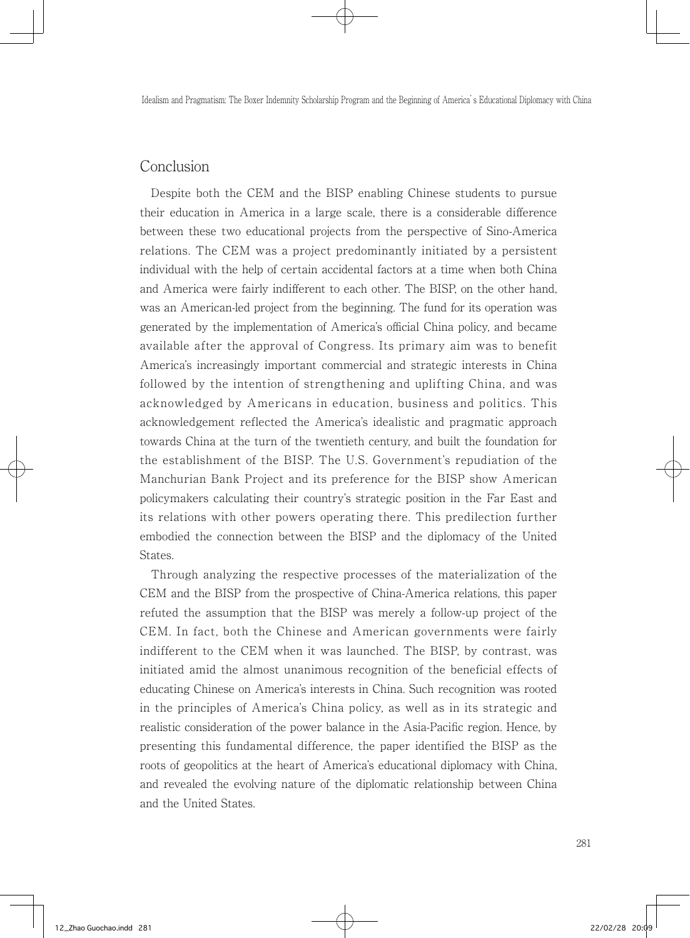#### Conclusion

 Despite both the CEM and the BISP enabling Chinese students to pursue their education in America in a large scale, there is a considerable difference between these two educational projects from the perspective of Sino-America relations. The CEM was a project predominantly initiated by a persistent individual with the help of certain accidental factors at a time when both China and America were fairly indifferent to each other. The BISP, on the other hand, was an American-led project from the beginning. The fund for its operation was generated by the implementation of America's official China policy, and became available after the approval of Congress. Its primary aim was to benefit America's increasingly important commercial and strategic interests in China followed by the intention of strengthening and uplifting China, and was acknowledged by Americans in education, business and politics. This acknowledgement reflected the America's idealistic and pragmatic approach towards China at the turn of the twentieth century, and built the foundation for the establishment of the BISP. The U.S. Government's repudiation of the Manchurian Bank Project and its preference for the BISP show American policymakers calculating their country's strategic position in the Far East and its relations with other powers operating there. This predilection further embodied the connection between the BISP and the diplomacy of the United States.

 Through analyzing the respective processes of the materialization of the CEM and the BISP from the prospective of China-America relations, this paper refuted the assumption that the BISP was merely a follow-up project of the CEM. In fact, both the Chinese and American governments were fairly indifferent to the CEM when it was launched. The BISP, by contrast, was initiated amid the almost unanimous recognition of the beneficial effects of educating Chinese on America's interests in China. Such recognition was rooted in the principles of America's China policy, as well as in its strategic and realistic consideration of the power balance in the Asia-Pacific region. Hence, by presenting this fundamental difference, the paper identified the BISP as the roots of geopolitics at the heart of America's educational diplomacy with China, and revealed the evolving nature of the diplomatic relationship between China and the United States.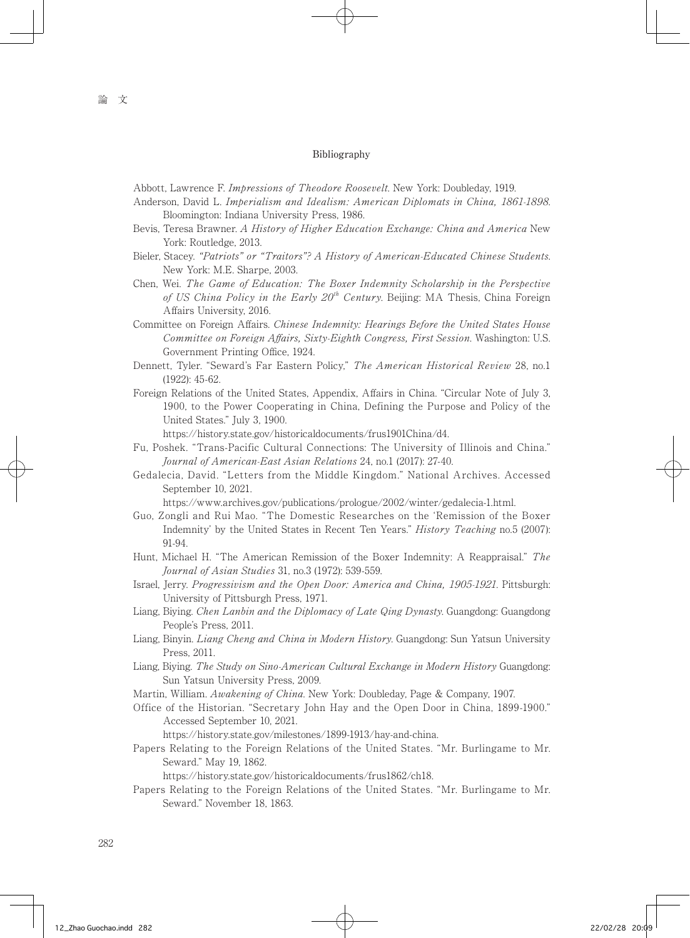#### Bibliography

Abbott, Lawrence F. Impressions of Theodore Roosevelt. New York: Doubleday, 1919.

- Anderson, David L. Imperialism and Idealism: American Diplomats in China, 1861-1898. Bloomington: Indiana University Press, 1986.
- Bevis, Teresa Brawner. A History of Higher Education Exchange: China and America New York: Routledge, 2013.
- Bieler, Stacey. "Patriots" or "Traitors"? A History of American-Educated Chinese Students. New York: M.E. Sharpe, 2003.
- Chen, Wei. The Game of Education: The Boxer Indemnity Scholarship in the Perspective of US China Policy in the Early  $20<sup>th</sup>$  Century. Beijing: MA Thesis, China Foreign Affairs University, 2016.
- Committee on Foreign Affairs. Chinese Indemnity: Hearings Before the United States House Committee on Foreign Affairs, Sixty-Eighth Congress, First Session. Washington: U.S. Government Printing Office, 1924.
- Dennett, Tyler. "Seward's Far Eastern Policy," The American Historical Review 28, no.1 (1922): 45-62.
- Foreign Relations of the United States, Appendix, Affairs in China. "Circular Note of July 3, 1900, to the Power Cooperating in China, Defining the Purpose and Policy of the United States." July 3, 1900.

https://history.state.gov/historicaldocuments/frus1901China/d4.

- Fu, Poshek. "Trans-Pacific Cultural Connections: The University of Illinois and China." Journal of American-East Asian Relations 24, no.1 (2017): 27-40.
- Gedalecia, David. "Letters from the Middle Kingdom." National Archives. Accessed September 10, 2021.

https://www.archives.gov/publications/prologue/2002/winter/gedalecia-1.html.

- Guo, Zongli and Rui Mao. "The Domestic Researches on the 'Remission of the Boxer Indemnity' by the United States in Recent Ten Years." History Teaching no.5 (2007): 91-94.
- Hunt, Michael H. "The American Remission of the Boxer Indemnity: A Reappraisal." The Journal of Asian Studies 31, no.3 (1972): 539-559.
- Israel, Jerry. Progressivism and the Open Door: America and China, 1905-1921. Pittsburgh: University of Pittsburgh Press, 1971.
- Liang, Biying. Chen Lanbin and the Diplomacy of Late Qing Dynasty. Guangdong: Guangdong People's Press, 2011.
- Liang, Binyin. Liang Cheng and China in Modern History. Guangdong: Sun Yatsun University Press, 2011.
- Liang, Biying. The Study on Sino-American Cultural Exchange in Modern History Guangdong: Sun Yatsun University Press, 2009.
- Martin, William. Awakening of China. New York: Doubleday, Page & Company, 1907.
- Office of the Historian. "Secretary John Hay and the Open Door in China, 1899-1900." Accessed September 10, 2021.

https://history.state.gov/milestones/1899-1913/hay-and-china.

Papers Relating to the Foreign Relations of the United States. "Mr. Burlingame to Mr. Seward." May 19, 1862.

https://history.state.gov/historicaldocuments/frus1862/ch18.

Papers Relating to the Foreign Relations of the United States. "Mr. Burlingame to Mr. Seward." November 18, 1863.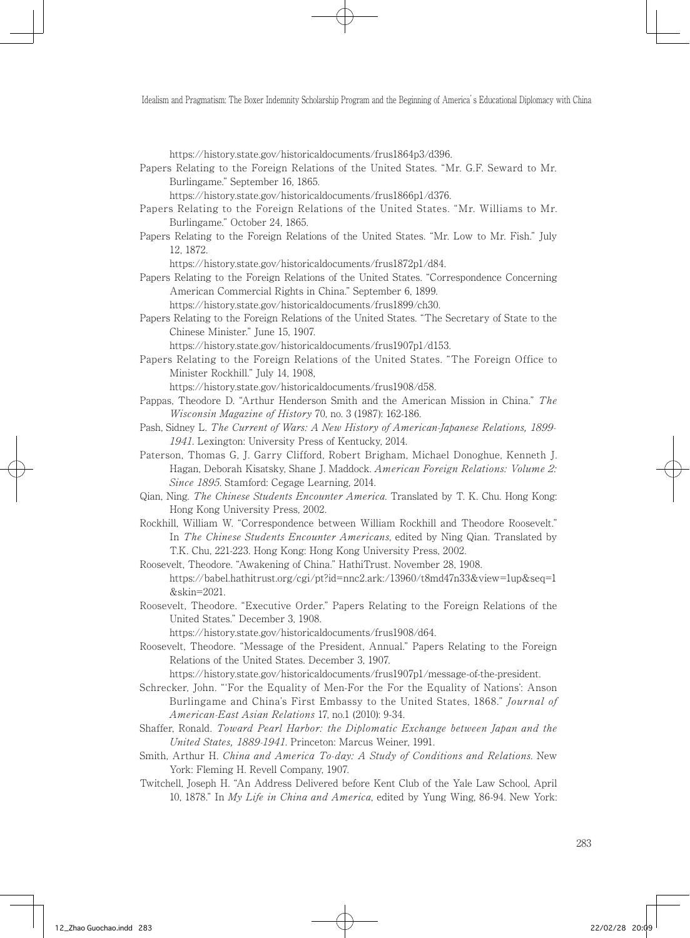https://history.state.gov/historicaldocuments/frus1864p3/d396.

Papers Relating to the Foreign Relations of the United States. "Mr. G.F. Seward to Mr. Burlingame." September 16, 1865.

https://history.state.gov/historicaldocuments/frus1866p1/d376.

- Papers Relating to the Foreign Relations of the United States. "Mr. Williams to Mr. Burlingame." October 24, 1865.
- Papers Relating to the Foreign Relations of the United States. "Mr. Low to Mr. Fish." July 12, 1872.

https://history.state.gov/historicaldocuments/frus1872p1/d84.

Papers Relating to the Foreign Relations of the United States. "Correspondence Concerning American Commercial Rights in China." September 6, 1899.

https://history.state.gov/historicaldocuments/frus1899/ch30.

Papers Relating to the Foreign Relations of the United States. "The Secretary of State to the Chinese Minister." June 15, 1907.

https://history.state.gov/historicaldocuments/frus1907p1/d153.

Papers Relating to the Foreign Relations of the United States. "The Foreign Office to Minister Rockhill." July 14, 1908,

https://history.state.gov/historicaldocuments/frus1908/d58.

- Pappas, Theodore D. "Arthur Henderson Smith and the American Mission in China." The Wisconsin Magazine of History 70, no. 3 (1987): 162-186.
- Pash, Sidney L. The Current of Wars: A New History of American-Japanese Relations, 1899- 1941. Lexington: University Press of Kentucky, 2014.
- Paterson, Thomas G, J. Garry Clifford, Robert Brigham, Michael Donoghue, Kenneth J. Hagan, Deborah Kisatsky, Shane J. Maddock. American Foreign Relations: Volume 2: Since 1895. Stamford: Cegage Learning, 2014.
- Qian, Ning. The Chinese Students Encounter America. Translated by T. K. Chu. Hong Kong: Hong Kong University Press, 2002.
- Rockhill, William W. "Correspondence between William Rockhill and Theodore Roosevelt." In The Chinese Students Encounter Americans, edited by Ning Qian. Translated by T.K. Chu, 221-223. Hong Kong: Hong Kong University Press, 2002.
- Roosevelt, Theodore. "Awakening of China." HathiTrust. November 28, 1908. https://babel.hathitrust.org/cgi/pt?id=nnc2.ark:/13960/t8md47n33&view=1up&seq=1 &skin=2021.
- Roosevelt, Theodore. "Executive Order." Papers Relating to the Foreign Relations of the United States." December 3, 1908.

https://history.state.gov/historicaldocuments/frus1908/d64.

Roosevelt, Theodore. "Message of the President, Annual." Papers Relating to the Foreign Relations of the United States. December 3, 1907.

https://history.state.gov/historicaldocuments/frus1907p1/message-of-the-president.

- Schrecker, John. "'For the Equality of Men-For the For the Equality of Nations': Anson Burlingame and China's First Embassy to the United States, 1868." *Journal of* American-East Asian Relations 17, no.1 (2010): 9-34.
- Shaffer, Ronald. Toward Pearl Harbor: the Diplomatic Exchange between Japan and the United States, 1889-1941. Princeton: Marcus Weiner, 1991.
- Smith, Arthur H. China and America To-day: A Study of Conditions and Relations. New York: Fleming H. Revell Company, 1907.
- Twitchell, Joseph H. "An Address Delivered before Kent Club of the Yale Law School, April 10, 1878." In My Life in China and America, edited by Yung Wing, 86-94. New York: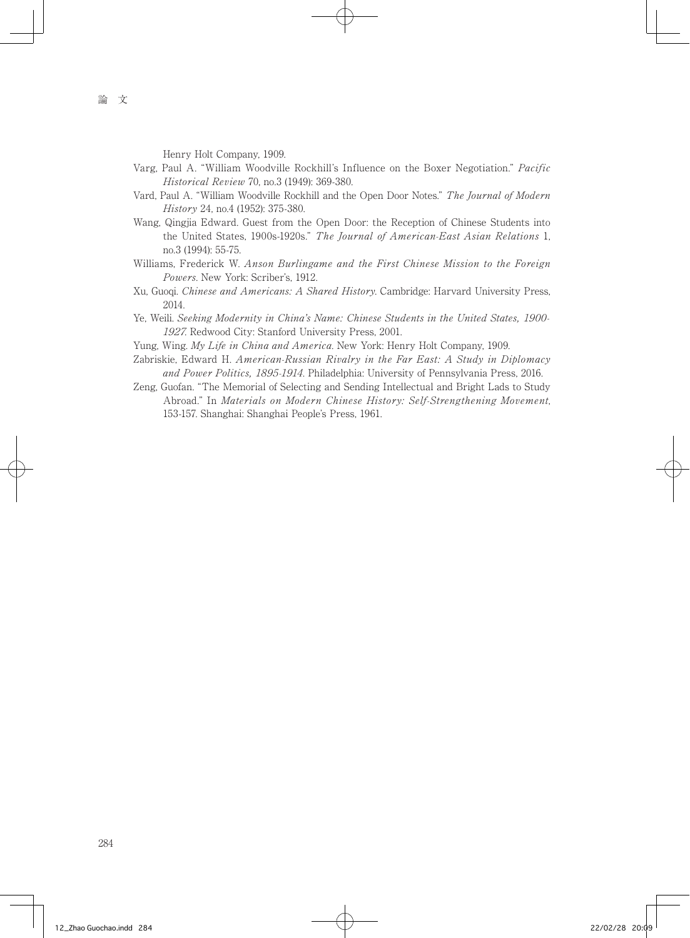Henry Holt Company, 1909.

- Varg, Paul A. "William Woodville Rockhill's Influence on the Boxer Negotiation." Pacific Historical Review 70, no.3 (1949): 369-380.
- Vard, Paul A. "William Woodville Rockhill and the Open Door Notes." The Journal of Modern History 24, no.4 (1952): 375-380.
- Wang, Qingjia Edward. Guest from the Open Door: the Reception of Chinese Students into the United States, 1900s-1920s." The Journal of American-East Asian Relations 1, no.3 (1994): 55-75.
- Williams, Frederick W. Anson Burlingame and the First Chinese Mission to the Foreign Powers. New York: Scriber's, 1912.
- Xu, Guoqi. Chinese and Americans: A Shared History. Cambridge: Harvard University Press, 2014.
- Ye, Weili. Seeking Modernity in China's Name: Chinese Students in the United States, 1900- 1927. Redwood City: Stanford University Press, 2001.
- Yung, Wing. My Life in China and America. New York: Henry Holt Company, 1909.
- Zabriskie, Edward H. American-Russian Rivalry in the Far East: A Study in Diplomacy and Power Politics, 1895-1914. Philadelphia: University of Pennsylvania Press, 2016.
- Zeng, Guofan. "The Memorial of Selecting and Sending Intellectual and Bright Lads to Study Abroad." In Materials on Modern Chinese History: Self-Strengthening Movement, 153-157. Shanghai: Shanghai People's Press, 1961.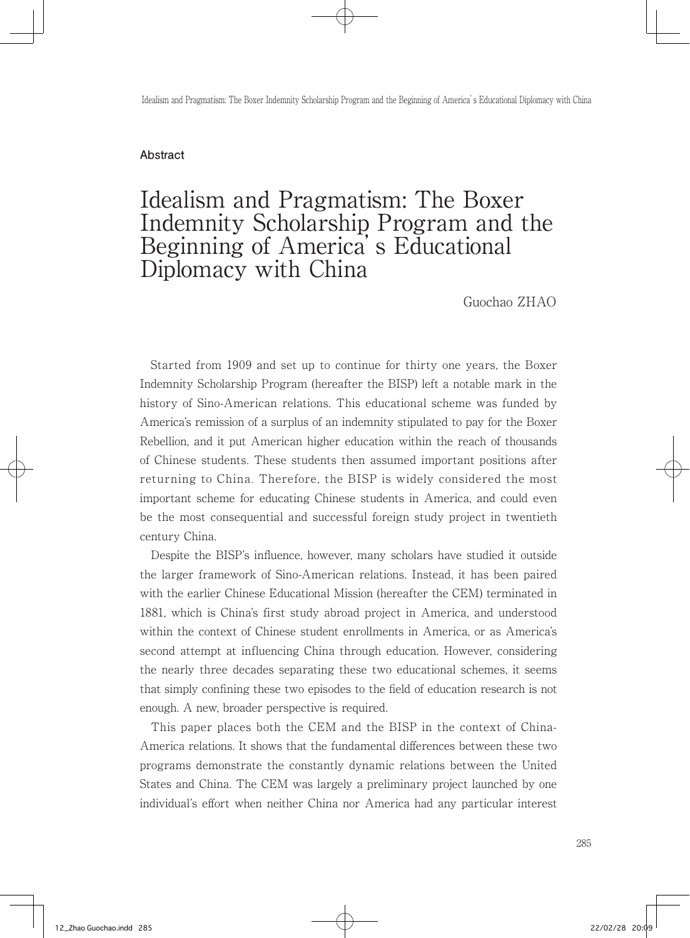#### **Abstract**

## Idealism and Pragmatism: The Boxer Indemnity Scholarship Program and the Beginning of America's Educational Diplomacy with China

Guochao ZHAO

 Started from 1909 and set up to continue for thirty one years, the Boxer Indemnity Scholarship Program (hereafter the BISP) left a notable mark in the history of Sino-American relations. This educational scheme was funded by America's remission of a surplus of an indemnity stipulated to pay for the Boxer Rebellion, and it put American higher education within the reach of thousands of Chinese students. These students then assumed important positions after returning to China. Therefore, the BISP is widely considered the most important scheme for educating Chinese students in America, and could even be the most consequential and successful foreign study project in twentieth century China.

 Despite the BISP's influence, however, many scholars have studied it outside the larger framework of Sino-American relations. Instead, it has been paired with the earlier Chinese Educational Mission (hereafter the CEM) terminated in 1881, which is China's first study abroad project in America, and understood within the context of Chinese student enrollments in America, or as America's second attempt at influencing China through education. However, considering the nearly three decades separating these two educational schemes, it seems that simply confining these two episodes to the field of education research is not enough. A new, broader perspective is required.

 This paper places both the CEM and the BISP in the context of China-America relations. It shows that the fundamental differences between these two programs demonstrate the constantly dynamic relations between the United States and China. The CEM was largely a preliminary project launched by one individual's effort when neither China nor America had any particular interest